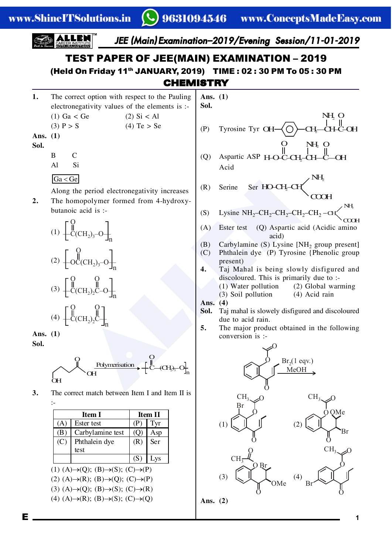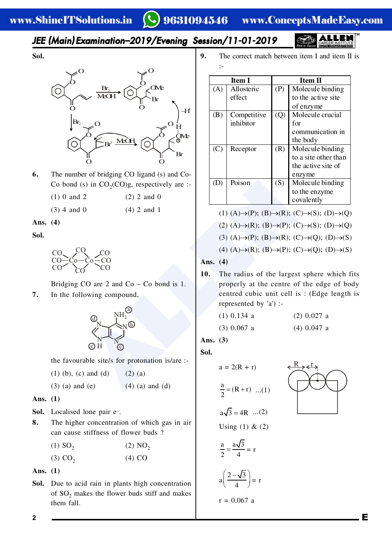www.ConceptsMadeEasy.com

### JEE (Main) Examination-2019/Evening Session/11-01-2019



Sol.



- 6. The number of bridging CO ligand (s) and Co-Co bond (s) in  $CO<sub>2</sub>(CO)g$ , respectively are :-
	- $(1)$  0 and 2  $(2)$  2 and 0
	- $(3)$  4 and 0  $(4)$  2 and 1

#### Ans.  $(4)$

Sol.



Bridging CO are  $2$  and Co – Co bond is 1.

7. In the following compound,



the favourable site/s for protonation is/are :-

 $(1)$  (b), (c) and (d)  $(2)$   $(a)$ 

 $(3)$  (a) and (e)  $(4)$  (a) and (d)

Ans.  $(1)$ 

- Sol. Localised lone pair e-.
- 8. The higher concentration of which gas in air can cause stiffness of flower buds ?

 $(1)$  SO<sub>2</sub>  $(2) NO<sub>2</sub>$  $(3)$  CO<sub>2</sub>  $(4)$  CO

Ans.  $(1)$ 

Sol. Due to acid rain in plants high concentration of  $SO_2$  makes the flower buds stiff and makes them fall.

 $\mathbf{Q}$ The correct match between item I and item II is  $\ddot{\phantom{a}}$ :

| <b>Item I</b> |             | <b>Item II</b> |                      |
|---------------|-------------|----------------|----------------------|
| (A)           | Allosteric  | (P)            | Molecule binding     |
|               | effect      |                | to the active site   |
|               |             |                | of enzyme            |
| (B)           | Competitive | (Q)            | Molecule crucial     |
|               | inhibitor   |                | for                  |
|               |             |                | communication in     |
|               |             |                | the body             |
| (C)           | Receptor    | (R)            | Molecule binding     |
|               |             |                | to a site other than |
|               |             |                | the active site of   |
|               |             |                | enzyme               |
| (D)           | Poison      | (S)            | Molecule binding     |
|               |             |                | to the enzyme        |
|               |             |                | covalently           |

$$
(1) (A) \rightarrow (P); (B) \rightarrow (R); (C) \rightarrow (S); (D) \rightarrow (Q)
$$
  

$$
(2) (A) \rightarrow (R); (B) \rightarrow (P); (C) \rightarrow (S); (D) \rightarrow (Q)
$$
  

$$
(3) (A) \rightarrow (P); (B) \rightarrow (R); (C) \rightarrow (Q); (D) \rightarrow (S)
$$

(4) 
$$
(A) \rightarrow (R)
$$
;  $(B) \rightarrow (P)$ ;  $(C) \rightarrow (Q)$ ;  $(D) \rightarrow (S)$ 

Ans.  $(4)$ 

 $10.$ The radius of the largest sphere which fits properly at the centre of the edge of body centred cubic unit cell is: (Edge length is represented by 'a') :-

| $(1)$ 0.134 a | $(2)$ 0.027 a |
|---------------|---------------|
| $(3)$ 0.067 a | $(4)$ 0.047 a |

Ans.  $(3)$ 

Sol.

$$
a = 2(R + r)
$$

$$
\frac{a}{2} = (R + r) \dots (1)
$$

$$
a\sqrt{3} = 4R \dots (2)
$$

Using  $(1)$  &  $(2)$ 

 $\frac{a}{2} = \frac{a\sqrt{3}}{4} = r$ 

 $a\left(\frac{2-\sqrt{3}}{4}\right)=r$ 

 $r = 0.067$  a



E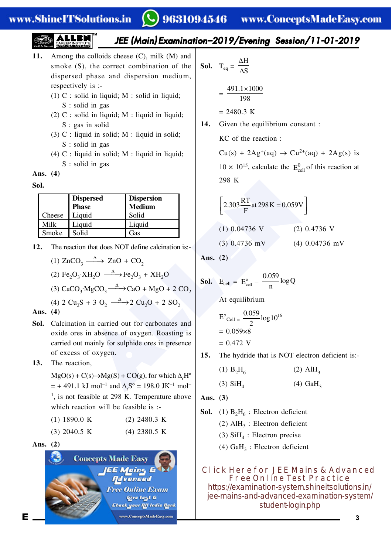#### www.ShineITSolutions.in

## 9631094546 www.ConceptsMadeEasy.com

### JEE (Main) Examination–2019/Evening Session/11-01-2019

- **11.** Among the colloids cheese  $(C)$ , milk  $(M)$  and smoke  $(S)$ , the correct combination of the dispersed phase and dispersion medium, respectively is  $\cdot$ 
	- $(1)$  C : solid in liquid; M : solid in liquid;  $S:$  solid in gas
	- (2) C : solid in liquid; M : liquid in liquid;  $S: gas$  in solid
	- $(3)$  C : liquid in solid; M : liquid in solid;  $S:$  solid in gas
	- (4) C : liquid in solid; M : liquid in liquid;  $S:$  solid in gas

**Ans. (4)**

**Sol.**

|        | <b>Dispersed</b><br><b>Phase</b> | <b>Dispersion</b><br><b>Medium</b> |
|--------|----------------------------------|------------------------------------|
| Cheese | Liquid                           | Solid                              |
| Milk   | Liquid                           | Liquid                             |
| Smoke  | Solid                            | Gas                                |

**12.** The reaction that does NOT define calcination is:-

(1) 
$$
\text{ZnCO}_3 \xrightarrow{\Delta} \text{ZnO} + \text{CO}_2
$$

(2) 
$$
\text{Fe}_2\text{O}_3 \cdot \text{XH}_2\text{O} \xrightarrow{\Delta} \text{Fe}_2\text{O}_3 + \text{XH}_2\text{O}
$$

(3) 
$$
CaCO_{3} \cdot MgCO_{3} \xrightarrow{\Delta} CaO + MgO + 2 CO_{2}
$$

(4) 2 Cu<sub>2</sub>S + 3 O<sub>2</sub>  $\xrightarrow{\Delta}$  2 Cu<sub>2</sub>O + 2 SO<sub>2</sub>

**Ans. (4)**

**Sol.** Calcination in carried out for carbonates and oxide ores in absence of oxygen. Roasting is carried out mainly for sulphide ores in presence of excess of oxygen.

#### 13. The reaction,

 $MgO(s) + C(s) \rightarrow Mg(S) + CO(g)$ , for which  $\Delta_rH^o$  $=$  + 491.1 kJ mol<sup>-1</sup> and  $\Delta_{\rm r}$ S<sup>o</sup> = 198.0 JK<sup>-1</sup> mol<sup>-1</sup>  $^1$ , is not feasible at 298 K. Temperature above which reaction will be feasible is :-

| (1) 1890.0 K   | $(2)$ 2480.3 K |
|----------------|----------------|
| $(3)$ 2040.5 K | $(4)$ 2380.5 K |

**Ans. (2)**



**Sol.** 
$$
T_{eq} = \frac{\Delta H}{\Delta S}
$$
  
=  $\frac{491.1 \times 1000}{198}$   
= 2480.3 K

**14.** Given the equilibrium constant:  $KC$  of the reaction :

 $Cu(s) + 2Ag^+(aq) \rightarrow Cu^{2+}(aq) + 2Ag(s)$  is  $10 \times 10^{15}$ , calculate the  $E_{cell}^0$  of this reaction at 298 K

$$
3 \times H_2O
$$
\n
$$
3 \times H_2O
$$
\n
$$
3 \times H_2O
$$
\n
$$
3 \times H_2O
$$
\n
$$
3 \times H_2O
$$
\n
$$
3 \times H_2O
$$
\n
$$
3 \times H_2O
$$
\n
$$
3 \times H_2O
$$
\n
$$
3 \times H_2O
$$
\n
$$
3 \times H_2O
$$
\n
$$
3 \times H_2O
$$
\n
$$
3 \times H_2O
$$
\n
$$
3 \times H_2O
$$
\n
$$
3 \times H_2O
$$
\n
$$
3 \times H_2O
$$
\n
$$
3 \times H_2O
$$
\n
$$
3 \times H_2O
$$
\n
$$
3 \times H_2O
$$
\n
$$
3 \times H_2O
$$
\n
$$
3 \times H_2O
$$
\n
$$
3 \times H_2O
$$
\n
$$
3 \times H_2O
$$
\n
$$
3 \times H_2O
$$
\n
$$
3 \times H_2O
$$
\n
$$
3 \times H_2O
$$
\n
$$
3 \times H_2O
$$
\n
$$
3 \times H_2O
$$
\n
$$
3 \times H_2O
$$
\n
$$
3 \times H_2O
$$
\n
$$
3 \times H_2O
$$
\n
$$
3 \times H_2O
$$
\n
$$
3 \times H_2O
$$
\n
$$
3 \times H_2O
$$
\n
$$
3 \times H_2O
$$
\n
$$
3 \times H_2O
$$
\n
$$
3 \times H_2O
$$
\n
$$
3 \times H_2O
$$
\n
$$
3 \times H_2O
$$
\n
$$
3 \times H_2O
$$
\n
$$
3 \times H_2O
$$
\n
$$
3 \times H_2O
$$
\n
$$
3 \times H_2O
$$
\n
$$
3 \times H_2O
$$
\n
$$
3 \times H_2O
$$
\n
$$
3 \times H_2O
$$

**Ans. (2)**

**Sol.** 
$$
E_{cell} = E_{cell}^{\circ} - \frac{0.059}{n} \log Q
$$
  
At equilibrium  
 $E^{\circ}_{Cell} = \frac{0.059}{n} \log 10^{16}$ 

$$
E_{\text{Cell}} = \frac{2}{2}
$$
  
= 0.059×8  
= 0.472 V

**15.** The hydride that is NOT electron deficient is:-

(1) 
$$
B_2H_6
$$
 (2)  $AIH_3$ 

$$
(3) SiH4 \t(4) GaH3
$$

**Ans. (3)**

**Sol.** (1)  $B_2H_6$ : Electron deficient

(2)  $AH<sub>3</sub>$ : Electron deficient

(3)  $SiH<sub>4</sub>$ : Electron precise

(4)  $GaH_3$ : Electron deficient

**Click Here for JEE Mains & Advanced Free Online Test Practice** https://examination-system.shineitsolutions.in/ [jee-mains-and-advanced-examination-system/](https://examination-system.shineitsolutions.in/jee-mains-and-advanced-examination-system/student-login.php) student-login.php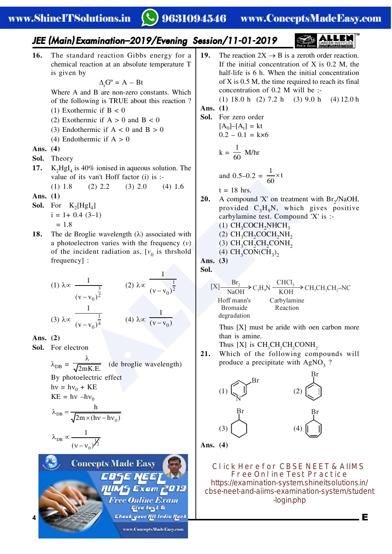# ◯ 9631094546 www.ConceptsMadeEasy.com

**EN ALLEY**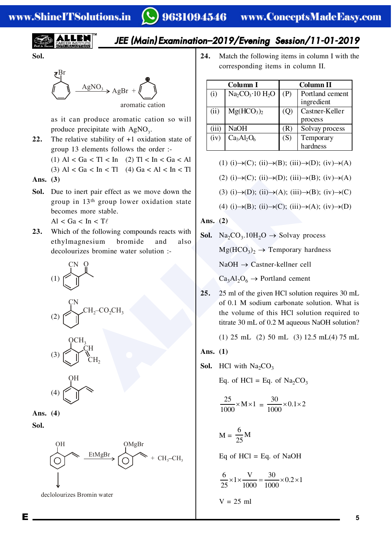$$
\left(\frac{1}{\sqrt{\frac{1}{\sqrt{1+\left(\frac{1}{\sqrt{1+\left(\frac{1}{\sqrt{1+\left(\frac{1}{\sqrt{1+\left(\frac{1}{\sqrt{1+\left(\frac{1}{\sqrt{1+\left(\frac{1}{\sqrt{1+\left(1+\left(1\right)\right)}\right)}\right)z^{2}}}}}\right)z^{2}}}}{1+\left(\frac{1}{\sqrt{1+\left(\frac{1}{\sqrt{1+\left(\frac{1}{\sqrt{1+\left(\frac{1}{\sqrt{1+\left(1+\left(1\right)\right)}\right)}}}}}\right)}}{1+\left(\frac{1}{\sqrt{1+\left(\frac{1}{\sqrt{1+\left(\frac{1}{\sqrt{1+\left(\frac{1}{\sqrt{1+\left(\frac{1}{\sqrt{1+\left(1+\left(1\right)\right)}\right)}}}}}\right)}}{1+\left(\frac{1}{\sqrt{1+\left(\frac{1}{\sqrt{1+\left(\frac{1}{\sqrt{1+\left(\frac{1}{\sqrt{1+\left(\frac{1}{\sqrt{1+\left(1+\left(1\right)\right)}\right)}}}}}\right)}}right})}}{1+\left(\frac{1}{\sqrt{1+\left(\frac{1}{\sqrt{1+\left(\frac{1}{\sqrt{1+\left(\frac{1}{\sqrt{1+\left(\frac{1}{\sqrt{1+\left(\frac{1}{\sqrt{1+\left(\frac{1}{\sqrt{1+\left(\frac{1}{\sqrt{1+\left(\frac{1}{\sqrt{1+\left(\frac{1}{\sqrt{1+\left(\frac{1}{\sqrt{1+\left(\frac{1}{\sqrt{1+\left(1+\left(1\right)\right)}\right)}}}}right)}}right)}}{1+\left(\frac{1}{\sqrt{1+\left(\frac{1}{\sqrt{1+\left(\frac{1}{\sqrt{1+\left(\frac{1}{\sqrt{1+\left(\frac{1}{\sqrt{1+\left(\frac{1}{\sqrt{1+\left(\frac{1}{\sqrt{1+\left(\frac{1}{\sqrt{1+\left(\frac{1}{\sqrt{1+\left(\frac{1}{\sqrt{1+\left(\frac{1}{\sqrt{1+\left(\frac{1}{\sqrt{1+\left(\frac{1}{\sqrt{1+\left(1+\left(1\right)\right)}}}}right)}}}}right)}}rightright)}}{1+\left(\frac{1}{\sqrt{1+\left(\frac{1}{\sqrt{1+\left(\frac{1}{\sqrt{1+\left(\frac{1}{\sqrt{1+\left(\frac{1}{\sqrt{1+\left(\frac{1}{\sqrt{1+\left(\frac{1}{\sqrt{1+\left(\frac{1}{\sqrt{1+\left(\frac{1}{\sqrt
$$

## JEE (Main) Examination-2019/Evening Session/11-01-2019

Sol.



as it can produce aromatic cation so will produce precipitate with AgNO<sub>2</sub>.

- 22. The relative stability of  $+1$  oxidation state of group 13 elements follows the order :-
	- (1) Al < Ga < Tl < In (2) Tl < In < Ga < Al
	- (3) Al < Ga < In < Tl (4) Ga < Al < In < Tl
- Ans.  $(3)$
- Sol. Due to inert pair effect as we move down the group in 13<sup>th</sup> group lower oxidation state becomes more stable.

 $Al < Ga < In < T\ell$ 

Which of the following compounds reacts with  $23.$ ethylmagnesium bromide and also decolourizes bromine water solution :-



$$
(2)\underbrace{\bigcup\limits_{\text{CH}_2-\text{CO}_2\text{CH}_3}}^{C\text{N}}
$$



Ans.  $(4)$ 

Sol.

Е



declolourizes Bromin water

24. Match the following items in column I with the corresponding items in column II.

| Column I |                                    | Column II      |                               |
|----------|------------------------------------|----------------|-------------------------------|
| (i)      | $Na2CO3·10 H2O$                    | (P)            | Portland cement<br>ingredient |
| (ii)     | Mg(HCO <sub>3</sub> ) <sub>2</sub> | (Q)            | Castner-Keller<br>process     |
| (iii)    | <b>NaOH</b>                        | $(\mathbf{R})$ | Solvay process                |
| (iv)     | $Ca3Al2O6$                         | (S)            | Temporary<br>hardness         |

(1) (i) 
$$
\rightarrow
$$
(C); (ii)  $\rightarrow$ (B); (iii)  $\rightarrow$ (D); (iv)  $\rightarrow$ (A)

(2) (i) 
$$
\rightarrow
$$
(C); (ii)  $\rightarrow$ (D); (iii)  $\rightarrow$ (B); (iv)  $\rightarrow$ (A)

(3) (i) 
$$
\rightarrow
$$
(D); (ii)  $\rightarrow$ (A); (iii)  $\rightarrow$ (B); (iv)  $\rightarrow$ (C)

(4) (i) 
$$
\rightarrow
$$
(B); (ii)  $\rightarrow$ (C); (iii)  $\rightarrow$ (A); (iv)  $\rightarrow$ (D)

Ans.  $(2)$ 

- **Sol.** Na<sub>2</sub>CO<sub>3</sub>.10H<sub>2</sub>O  $\rightarrow$  Solvay process  $Mg(HCO<sub>3</sub>)<sub>2</sub> \rightarrow$  Temporary hardness  $NaOH \rightarrow Castner-kellner$  cell  $Ca<sub>3</sub>Al<sub>2</sub>O<sub>6</sub> \rightarrow$  Portland cement
- $25.$ 25 ml of the given HCl solution requires 30 mL of 0.1 M sodium carbonate solution. What is the volume of this HCl solution required to titrate 30 mL of 0.2 M aqueous NaOH solution?

(1) 25 mL (2) 50 mL (3) 12.5 mL(4) 75 mL

Ans. 
$$
(1)
$$

**Sol.** HCl with  $Na_2CO_3$ 

Eq. of HCl = Eq. of  $Na_2CO_3$ 

$$
\frac{25}{1000} \times M \times 1 = \frac{30}{1000} \times 0.1 \times 2
$$

$$
M = \frac{6}{25}M
$$

Eq of  $HC1 = Eq.$  of NaOH

$$
\frac{6}{25} \times 1 \times \frac{V}{1000} = \frac{30}{1000} \times 0.2 \times 1
$$

$$
V = 25 \text{ ml}
$$